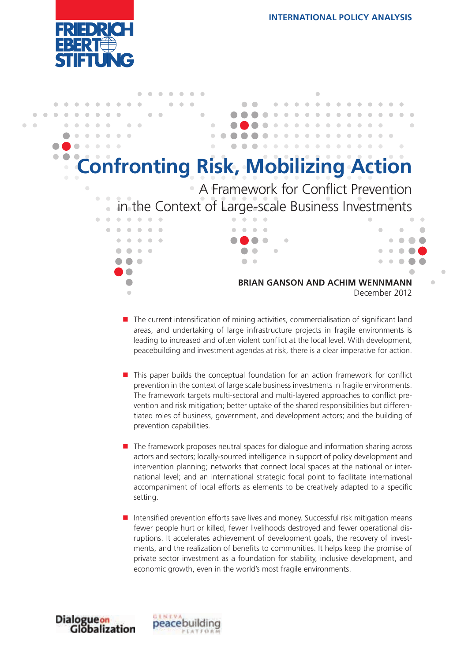



- The current intensification of mining activities, commercialisation of significant land areas, and undertaking of large infrastructure projects in fragile environments is leading to increased and often violent conflict at the local level. With development, peacebuilding and investment agendas at risk, there is a clear imperative for action.
- **This paper builds the conceptual foundation for an action framework for conflict** prevention in the context of large scale business investments in fragile environments. The framework targets multi-sectoral and multi-layered approaches to conflict prevention and risk mitigation; better uptake of the shared responsibilities but differentiated roles of business, government, and development actors; and the building of prevention capabilities.
- **T** The framework proposes neutral spaces for dialogue and information sharing across actors and sectors; locally-sourced intelligence in support of policy development and intervention planning; networks that connect local spaces at the national or international level; and an international strategic focal point to facilitate international accompaniment of local efforts as elements to be creatively adapted to a specific setting.
- **Intensified prevention efforts save lives and money. Successful risk mitigation means** fewer people hurt or killed, fewer livelihoods destroyed and fewer operational disruptions. It accelerates achievement of development goals, the recovery of investments, and the realization of benefits to communities. It helps keep the promise of private sector investment as a foundation for stability, inclusive development, and economic growth, even in the world's most fragile environments.



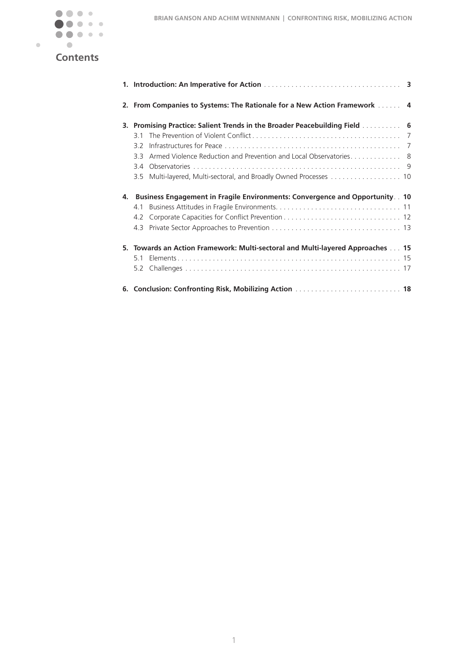

# **Contents**

|    |                                                                                | 2. From Companies to Systems: The Rationale for a New Action Framework  4     |  |
|----|--------------------------------------------------------------------------------|-------------------------------------------------------------------------------|--|
|    |                                                                                | 3. Promising Practice: Salient Trends in the Broader Peacebuilding Field  6   |  |
|    | 31                                                                             |                                                                               |  |
|    | 32                                                                             |                                                                               |  |
|    | 33                                                                             | Armed Violence Reduction and Prevention and Local Observatories 8             |  |
|    |                                                                                |                                                                               |  |
|    |                                                                                |                                                                               |  |
| 4. |                                                                                | Business Engagement in Fragile Environments: Convergence and Opportunity . 10 |  |
|    | 4.1                                                                            |                                                                               |  |
|    |                                                                                |                                                                               |  |
|    |                                                                                |                                                                               |  |
|    | 5. Towards an Action Framework: Multi-sectoral and Multi-layered Approaches 15 |                                                                               |  |
|    | 51                                                                             |                                                                               |  |
|    |                                                                                |                                                                               |  |
|    |                                                                                |                                                                               |  |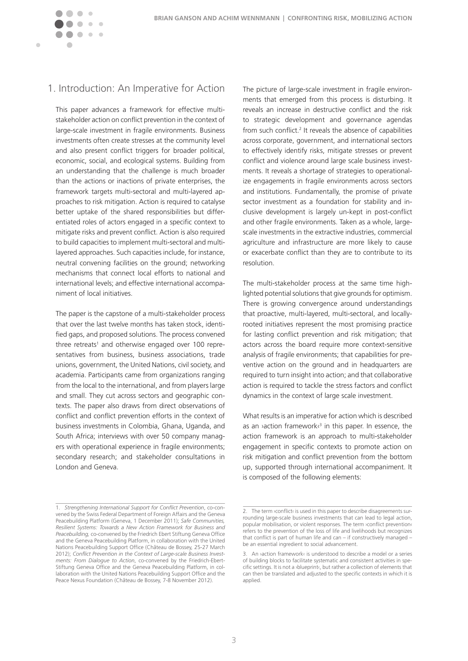<span id="page-2-0"></span>

## 1. Introduction: An Imperative for Action

This paper advances a framework for effective multistakeholder action on conflict prevention in the context of large-scale investment in fragile environments. Business investments often create stresses at the community level and also present conflict triggers for broader political, economic, social, and ecological systems. Building from an understanding that the challenge is much broader than the actions or inactions of private enterprises, the framework targets multi-sectoral and multi-layered approaches to risk mitigation. Action is required to catalyse better uptake of the shared responsibilities but differentiated roles of actors engaged in a specific context to mitigate risks and prevent conflict. Action is also required to build capacities to implement multi-sectoral and multilayered approaches. Such capacities include, for instance, neutral convening facilities on the ground; networking mechanisms that connect local efforts to national and international levels; and effective international accompaniment of local initiatives.

The paper is the capstone of a multi-stakeholder process that over the last twelve months has taken stock, identified gaps, and proposed solutions. The process convened three retreats<sup>1</sup> and otherwise engaged over 100 representatives from business, business associations, trade unions, government, the United Nations, civil society, and academia. Participants came from organizations ranging from the local to the international, and from players large and small. They cut across sectors and geographic contexts. The paper also draws from direct observations of conflict and conflict prevention efforts in the context of business investments in Colombia, Ghana, Uganda, and South Africa; interviews with over 50 company managers with operational experience in fragile environments; secondary research; and stakeholder consultations in London and Geneva.

The picture of large-scale investment in fragile environments that emerged from this process is disturbing. It reveals an increase in destructive conflict and the risk to strategic development and governance agendas from such conflict.<sup>2</sup> It reveals the absence of capabilities across corporate, government, and international sectors to effectively identify risks, mitigate stresses or prevent conflict and violence around large scale business investments. It reveals a shortage of strategies to operationalize engagements in fragile environments across sectors and institutions. Fundamentally, the promise of private sector investment as a foundation for stability and inclusive development is largely un-kept in post-conflict and other fragile environments. Taken as a whole, largescale investments in the extractive industries, commercial agriculture and infrastructure are more likely to cause or exacerbate conflict than they are to contribute to its resolution.

The multi-stakeholder process at the same time highlighted potential solutions that give grounds for optimism. There is growing convergence around understandings that proactive, multi-layered, multi-sectoral, and locallyrooted initiatives represent the most promising practice for lasting conflict prevention and risk mitigation; that actors across the board require more context-sensitive analysis of fragile environments; that capabilities for preventive action on the ground and in headquarters are required to turn insight into action; and that collaborative action is required to tackle the stress factors and conflict dynamics in the context of large scale investment.

What results is an imperative for action which is described as an > action framework $\epsilon^3$  in this paper. In essence, the action framework is an approach to multi-stakeholder engagement in specific contexts to promote action on risk mitigation and conflict prevention from the bottom up, supported through international accompaniment. It is composed of the following elements:

<sup>1.</sup> *Strengthening International Support for Conflict Prevention*, co-convened by the Swiss Federal Department of Foreign Affairs and the Geneva Peacebuilding Platform (Geneva, 1 December 2011); *Safe Communities, Resilient Systems: Towards a New Action Framework for Business and Peacebuilding,* co-convened by the Friedrich Ebert Stiftung Geneva Office and the Geneva Peacebuilding Platform, in collaboration with the United Nations Peacebuilding Support Office (Château de Bossey, 25-27 March 2012); *Conflict Prevention in the Context of Large-scale Business Investments: From Dialogue to Action*, co-convened by the Friedrich-Ebert-Stiftung Geneva Office and the Geneva Peacebuilding Platform, in collaboration with the United Nations Peacebuilding Support Office and the Peace Nexus Foundation (Château de Bossey, 7-8 November 2012).

<sup>2.</sup> The term > conflict< is used in this paper to describe disagreements surrounding large-scale business investments that can lead to legal action, popular mobilisation, or violent responses. The term *>*conflict prevention‹ refers to the prevention of the loss of life and livelihoods but recognizes that conflict is part of human life and can – if constructively managed – be an essential ingredient to social advancement.

<sup>3.</sup> An *v*action framework‹ is understood to describe a model or a series of building blocks to facilitate systematic and consistent activities in specific settings. It is not a ›blueprint‹, but rather a collection of elements that can then be translated and adjusted to the specific contexts in which it is applied.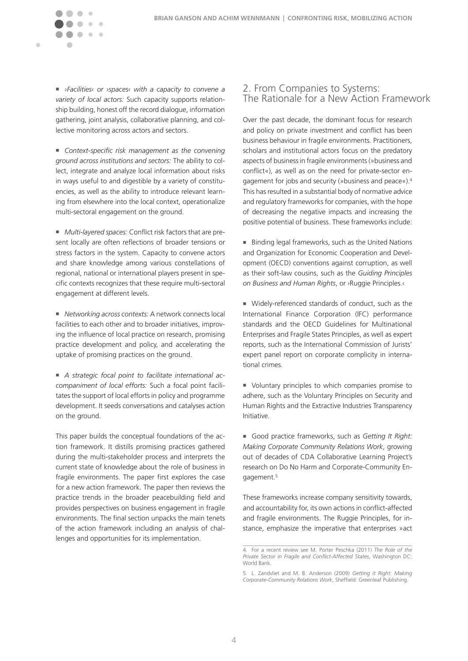*›Facilities‹ or ›spaces‹ with a capacity to convene a variety of local actors:* Such capacity supports relationship building, honest off the record dialogue, information gathering, joint analysis, collaborative planning, and collective monitoring across actors and sectors.

 $\mathcal{C}$  $\sim$   $\sim$ 

<span id="page-3-0"></span> $\blacksquare$ 

 *Context-specific risk management as the convening ground across institutions and sectors:* The ability to collect, integrate and analyze local information about risks in ways useful to and digestible by a variety of constituencies, as well as the ability to introduce relevant learning from elsewhere into the local context, operationalize multi-sectoral engagement on the ground.

 *Multi-layered spaces:* Conflict risk factors that are present locally are often reflections of broader tensions or stress factors in the system. Capacity to convene actors and share knowledge among various constellations of regional, national or international players present in specific contexts recognizes that these require multi-sectoral engagement at different levels.

 *Networking across contexts:* A network connects local facilities to each other and to broader initiatives, improving the influence of local practice on research, promising practice development and policy, and accelerating the uptake of promising practices on the ground.

 *A strategic focal point to facilitate international accompaniment of local efforts:* Such a focal point facilitates the support of local efforts in policy and programme development. It seeds conversations and catalyses action on the ground.

This paper builds the conceptual foundations of the action framework. It distills promising practices gathered during the multi-stakeholder process and interprets the current state of knowledge about the role of business in fragile environments. The paper first explores the case for a new action framework. The paper then reviews the practice trends in the broader peacebuilding field and provides perspectives on business engagement in fragile environments. The final section unpacks the main tenets of the action framework including an analysis of challenges and opportunities for its implementation.

## 2. From Companies to Systems: The Rationale for a New Action Framework

Over the past decade, the dominant focus for research and policy on private investment and conflict has been business behaviour in fragile environments. Practitioners, scholars and institutional actors focus on the predatory aspects of business in fragile environments (»business and conflict«), as well as on the need for private-sector engagement for jobs and security (»business and peace«).4 This has resulted in a substantial body of normative advice and regulatory frameworks for companies, with the hope of decreasing the negative impacts and increasing the positive potential of business. These frameworks include:

■ Binding legal frameworks, such as the United Nations and Organization for Economic Cooperation and Development (OECD) conventions against corruption, as well as their soft-law cousins, such as the *Guiding Principles on Business and Human Rights*, or ›Ruggie Principles.‹

 Widely-referenced standards of conduct, such as the International Finance Corporation (IFC) performance standards and the OECD Guidelines for Multinational Enterprises and Fragile States Principles, as well as expert reports, such as the International Commission of Jurists' expert panel report on corporate complicity in international crimes.

 Voluntary principles to which companies promise to adhere, such as the Voluntary Principles on Security and Human Rights and the Extractive Industries Transparency Initiative.

 Good practice frameworks, such as *Getting It Right: Making Corporate Community Relations Work*, growing out of decades of CDA Collaborative Learning Project's research on Do No Harm and Corporate-Community Engagement.<sup>5</sup>

These frameworks increase company sensitivity towards, and accountability for, its own actions in conflict-affected and fragile environments. The Ruggie Principles, for instance, emphasize the imperative that enterprises »act

<sup>4.</sup> For a recent review see M. Porter Peschka (2011) *The Role of the Private Sector in Fragile and Conflict-Affected States*, Washington DC: World Bank.

<sup>5.</sup> L. Zandvliet and M. B. Anderson (2009) *Getting it Right: Making Corporate-Community Relations Work*, Sheffield: Greenleaf Publishing.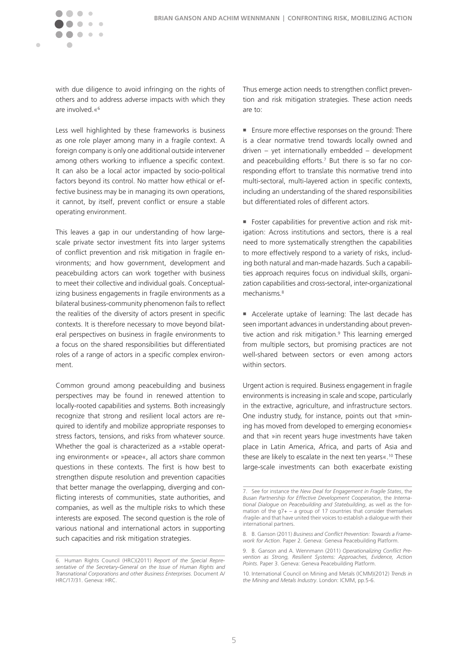

with due diligence to avoid infringing on the rights of others and to address adverse impacts with which they are involved.«6

Less well highlighted by these frameworks is business as one role player among many in a fragile context. A foreign company is only one additional outside intervener among others working to influence a specific context. It can also be a local actor impacted by socio-political factors beyond its control. No matter how ethical or effective business may be in managing its own operations, it cannot, by itself, prevent conflict or ensure a stable operating environment.

This leaves a gap in our understanding of how largescale private sector investment fits into larger systems of conflict prevention and risk mitigation in fragile environments; and how government, development and peacebuilding actors can work together with business to meet their collective and individual goals. Conceptualizing business engagements in fragile environments as a bilateral business-community phenomenon fails to reflect the realities of the diversity of actors present in specific contexts. It is therefore necessary to move beyond bilateral perspectives on business in fragile environments to a focus on the shared responsibilities but differentiated roles of a range of actors in a specific complex environment.

Common ground among peacebuilding and business perspectives may be found in renewed attention to locally-rooted capabilities and systems. Both increasingly recognize that strong and resilient local actors are required to identify and mobilize appropriate responses to stress factors, tensions, and risks from whatever source. Whether the goal is characterized as a »stable operating environment« or »peace«, all actors share common questions in these contexts. The first is how best to strengthen dispute resolution and prevention capacities that better manage the overlapping, diverging and conflicting interests of communities, state authorities, and companies, as well as the multiple risks to which these interests are exposed. The second question is the role of various national and international actors in supporting such capacities and risk mitigation strategies.

Thus emerge action needs to strengthen conflict prevention and risk mitigation strategies. These action needs are to:

■ Ensure more effective responses on the ground: There is a clear normative trend towards locally owned and driven – yet internationally embedded – development and peacebuilding efforts.<sup>7</sup> But there is so far no corresponding effort to translate this normative trend into multi-sectoral, multi-layered action in specific contexts, including an understanding of the shared responsibilities but differentiated roles of different actors.

 Foster capabilities for preventive action and risk mitigation: Across institutions and sectors, there is a real need to more systematically strengthen the capabilities to more effectively respond to a variety of risks, including both natural and man-made hazards. Such a capabilities approach requires focus on individual skills, organization capabilities and cross-sectoral, inter-organizational mechanisms.8

 Accelerate uptake of learning: The last decade has seen important advances in understanding about preventive action and risk mitigation.9 This learning emerged from multiple sectors, but promising practices are not well-shared between sectors or even among actors within sectors.

Urgent action is required. Business engagement in fragile environments is increasing in scale and scope, particularly in the extractive, agriculture, and infrastructure sectors. One industry study, for instance, points out that »mining has moved from developed to emerging economies« and that »in recent years huge investments have taken place in Latin America, Africa, and parts of Asia and these are likely to escalate in the next ten years«.10 These large-scale investments can both exacerbate existing

<sup>6.</sup> Human Rights Council (HRC)(2011) *Report of the Special Representative of the Secretary-General on the Issue of Human Rights and Transnational Corporations and other Business Enterprises.* Document A/ HRC/17/31. Geneva: HRC.

<sup>7.</sup> See for instance the *New Deal for Engagement in Fragile States*, the *Busan Partnership for Effective Development Cooperation*, the *International Dialogue on Peacebuilding and Statebuilding*, as well as the formation of the g7+ – a group of 17 countries that consider themselves ›fragile‹ and that have united their voices to establish a dialogue with their international partners.

<sup>8.</sup> B. Ganson (2011) *Business and Conflict Prevention: Towards a Framework for Action*. Paper 2. Geneva: Geneva Peacebuilding Platform.

<sup>9.</sup> B. Ganson and A. Wennmann (2011) *Operationalizing Conflict Prevention as Strong, Resilient Systems: Approaches, Evidence, Action Points*. Paper 3. Geneva: Geneva Peacebuilding Platform.

<sup>10.</sup> International Council on Mining and Metals (ICMM)(2012) *Trends in the Mining and Metals Industry*. London: ICMM, pp.5-6.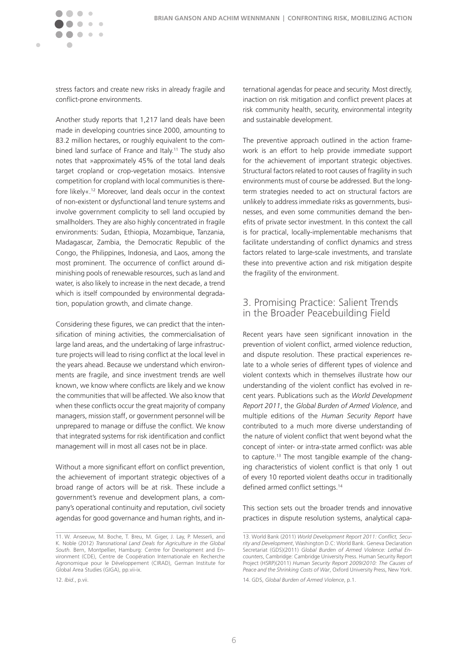<span id="page-5-0"></span>

stress factors and create new risks in already fragile and conflict-prone environments.

Another study reports that 1,217 land deals have been made in developing countries since 2000, amounting to 83.2 million hectares, or roughly equivalent to the combined land surface of France and Italy.<sup>11</sup> The study also notes that »approximately 45% of the total land deals target cropland or crop-vegetation mosaics. Intensive competition for cropland with local communities is therefore likely«.12 Moreover, land deals occur in the context of non-existent or dysfunctional land tenure systems and involve government complicity to sell land occupied by smallholders. They are also highly concentrated in fragile environments: Sudan, Ethiopia, Mozambique, Tanzania, Madagascar, Zambia, the Democratic Republic of the Congo, the Philippines, Indonesia, and Laos, among the most prominent. The occurrence of conflict around diminishing pools of renewable resources, such as land and water, is also likely to increase in the next decade, a trend which is itself compounded by environmental degradation, population growth, and climate change.

Considering these figures, we can predict that the intensification of mining activities, the commercialisation of large land areas, and the undertaking of large infrastructure projects will lead to rising conflict at the local level in the years ahead. Because we understand which environments are fragile, and since investment trends are well known, we know where conflicts are likely and we know the communities that will be affected. We also know that when these conflicts occur the great majority of company managers, mission staff, or government personnel will be unprepared to manage or diffuse the conflict. We know that integrated systems for risk identification and conflict management will in most all cases not be in place.

Without a more significant effort on conflict prevention, the achievement of important strategic objectives of a broad range of actors will be at risk. These include a government's revenue and development plans, a company's operational continuity and reputation, civil society agendas for good governance and human rights, and in-

ternational agendas for peace and security. Most directly, inaction on risk mitigation and conflict prevent places at risk community health, security, environmental integrity and sustainable development.

The preventive approach outlined in the action framework is an effort to help provide immediate support for the achievement of important strategic objectives. Structural factors related to root causes of fragility in such environments must of course be addressed. But the longterm strategies needed to act on structural factors are unlikely to address immediate risks as governments, businesses, and even some communities demand the benefits of private sector investment. In this context the call is for practical, locally-implementable mechanisms that facilitate understanding of conflict dynamics and stress factors related to large-scale investments, and translate these into preventive action and risk mitigation despite the fragility of the environment.

## 3. Promising Practice: Salient Trends in the Broader Peacebuilding Field

Recent years have seen significant innovation in the prevention of violent conflict, armed violence reduction, and dispute resolution. These practical experiences relate to a whole series of different types of violence and violent contexts which in themselves illustrate how our understanding of the violent conflict has evolved in recent years. Publications such as the *World Development Report 2011*, the *Global Burden of Armed Violence*, and multiple editions of the *Human Security Report* have contributed to a much more diverse understanding of the nature of violent conflict that went beyond what the concept of ›inter- or intra-state armed conflict‹ was able to capture.13 The most tangible example of the changing characteristics of violent conflict is that only 1 out of every 10 reported violent deaths occur in traditionally defined armed conflict settings.<sup>14</sup>

This section sets out the broader trends and innovative practices in dispute resolution systems, analytical capa-

<sup>11.</sup> W. Anseeuw, M. Boche, T. Breu, M. Giger, J. Lay, P. Messerli, and K. Noble (2012) *Transnational Land Deals for Agriculture in the Global South.* Bern, Montpellier, Hamburg: Centre for Development and Environment (CDE), Centre de Coopération Internationale en Recherche Agronomique pour le Développement (CIRAD), German Institute for Global Area Studies (GIGA), pp.vii-ix.

<sup>13.</sup> World Bank (2011) *World Development Report 2011: Conflict, Security and Development*, Washington D.C: World Bank. Geneva Declaration Secretariat (GDS)(2011) *Global Burden of Armed Violence: Lethal Encounters*, Cambridge: Cambridge University Press. Human Security Report Project (HSRP)(2011) *Human Security Report 2009/2010: The Causes of Peace and the Shrinking Costs of War*, Oxford University Press, New York.

<sup>14.</sup> GDS, *Global Burden of Armed Violence*, p.1.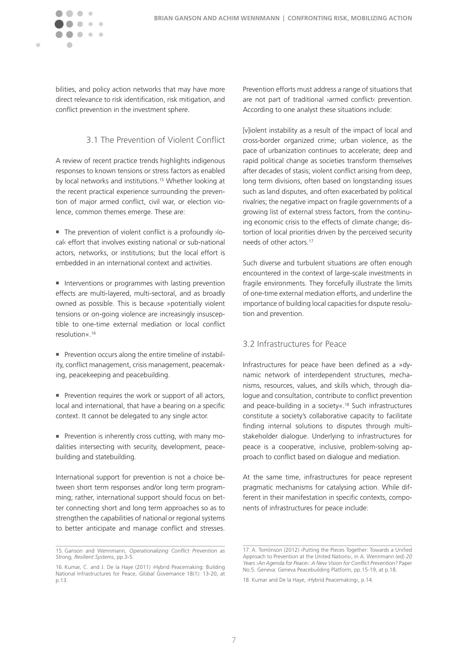<span id="page-6-0"></span>

bilities, and policy action networks that may have more direct relevance to risk identification, risk mitigation, and conflict prevention in the investment sphere.

### 3.1 The Prevention of Violent Conflict

A review of recent practice trends highlights indigenous responses to known tensions or stress factors as enabled by local networks and institutions.<sup>15</sup> Whether looking at the recent practical experience surrounding the prevention of major armed conflict, civil war, or election violence, common themes emerge. These are:

 The prevention of violent conflict is a profoundly ›local‹ effort that involves existing national or sub-national actors, networks, or institutions; but the local effort is embedded in an international context and activities.

**Interventions or programmes with lasting prevention** effects are multi-layered, multi-sectoral, and as broadly owned as possible. This is because »potentially violent tensions or on-going violence are increasingly insusceptible to one-time external mediation or local conflict resolution«.16

■ Prevention occurs along the entire timeline of instability, conflict management, crisis management, peacemaking, peacekeeping and peacebuilding.

**Prevention requires the work or support of all actors,** local and international, that have a bearing on a specific context. It cannot be delegated to any single actor.

**Prevention is inherently cross cutting, with many mo**dalities intersecting with security, development, peacebuilding and statebuilding.

International support for prevention is not a choice between short term responses and/or long term programming; rather, international support should focus on better connecting short and long term approaches so as to strengthen the capabilities of national or regional systems to better anticipate and manage conflict and stresses.

Prevention efforts must address a range of situations that are not part of traditional ›armed conflict‹ prevention. According to one analyst these situations include:

[v]iolent instability as a result of the impact of local and cross-border organized crime; urban violence, as the pace of urbanization continues to accelerate; deep and rapid political change as societies transform themselves after decades of stasis; violent conflict arising from deep, long term divisions, often based on longstanding issues such as land disputes, and often exacerbated by political rivalries; the negative impact on fragile governments of a growing list of external stress factors, from the continuing economic crisis to the effects of climate change; distortion of local priorities driven by the perceived security needs of other actors.17

Such diverse and turbulent situations are often enough encountered in the context of large-scale investments in fragile environments. They forcefully illustrate the limits of one-time external mediation efforts, and underline the importance of building local capacities for dispute resolution and prevention.

### 3.2 Infrastructures for Peace

Infrastructures for peace have been defined as a »dynamic network of interdependent structures, mechanisms, resources, values, and skills which, through dialogue and consultation, contribute to conflict prevention and peace-building in a society«.18 Such infrastructures constitute a society's collaborative capacity to facilitate finding internal solutions to disputes through multistakeholder dialogue. Underlying to infrastructures for peace is a cooperative, inclusive, problem-solving approach to conflict based on dialogue and mediation.

At the same time, infrastructures for peace represent pragmatic mechanisms for catalysing action. While different in their manifestation in specific contexts, components of infrastructures for peace include:

<sup>15.</sup> Ganson and Wennmann*, Operationalizing Conflict Prevention as Strong, Resilient Systems*, pp.3-5.

<sup>16.</sup> Kumar, C. and J. De la Haye (2011) ›Hybrid Peacemaking: Building National Infrastructures for Peace, *Global Governance* 18(1): 13-20, at p.13.

<sup>17.</sup> A. Tomlinson (2012) ›Putting the Pieces Together: Towards a Unified Approach to Prevention at the United Nations‹, in A. Wennmann (ed) *20 Years ›An Agenda for Peace‹: A New Vision for Conflict Prevention?* Paper No.5. Geneva: Geneva Peacebuilding Platform, pp.15-19, at p.18.

<sup>18.</sup> Kumar and De la Haye, ›Hybrid Peacemaking‹, p.14.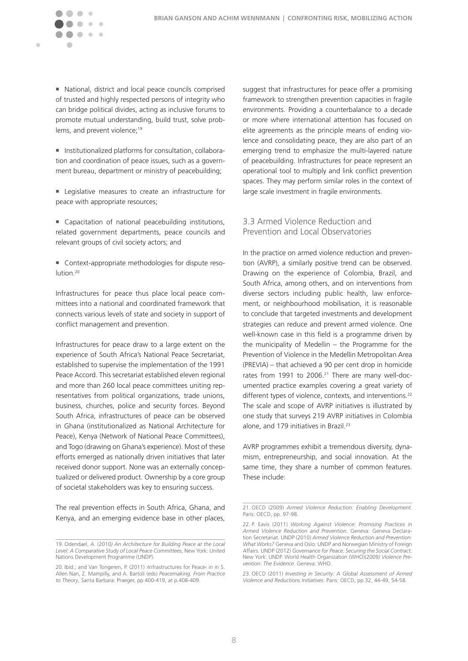<span id="page-7-0"></span> National, district and local peace councils comprised of trusted and highly respected persons of integrity who can bridge political divides, acting as inclusive forums to promote mutual understanding, build trust, solve problems, and prevent violence;<sup>19</sup>

 Institutionalized platforms for consultation, collaboration and coordination of peace issues, such as a government bureau, department or ministry of peacebuilding;

 Legislative measures to create an infrastructure for peace with appropriate resources;

■ Capacitation of national peacebuilding institutions, related government departments, peace councils and relevant groups of civil society actors; and

■ Context-appropriate methodologies for dispute resolution.20

Infrastructures for peace thus place local peace committees into a national and coordinated framework that connects various levels of state and society in support of conflict management and prevention.

Infrastructures for peace draw to a large extent on the experience of South Africa's National Peace Secretariat, established to supervise the implementation of the 1991 Peace Accord. This secretariat established eleven regional and more than 260 local peace committees uniting representatives from political organizations, trade unions, business, churches, police and security forces. Beyond South Africa, infrastructures of peace can be observed in Ghana (institutionalized as National Architecture for Peace), Kenya (Network of National Peace Committees), and Togo (drawing on Ghana's experience). Most of these efforts emerged as nationally driven initiatives that later received donor support. None was an externally conceptualized or delivered product. Ownership by a core group of societal stakeholders was key to ensuring success.

The real prevention effects in South Africa, Ghana, and Kenya, and an emerging evidence base in other places,

suggest that infrastructures for peace offer a promising framework to strengthen prevention capacities in fragile environments. Providing a counterbalance to a decade or more where international attention has focused on elite agreements as the principle means of ending violence and consolidating peace, they are also part of an emerging trend to emphasize the multi-layered nature of peacebuilding. Infrastructures for peace represent an operational tool to multiply and link conflict prevention spaces. They may perform similar roles in the context of large scale investment in fragile environments.

## 3.3 Armed Violence Reduction and Prevention and Local Observatories

In the practice on armed violence reduction and prevention (AVRP), a similarly positive trend can be observed. Drawing on the experience of Colombia, Brazil, and South Africa, among others, and on interventions from diverse sectors including public health, law enforcement, or neighbourhood mobilisation, it is reasonable to conclude that targeted investments and development strategies can reduce and prevent armed violence. One well-known case in this field is a programme driven by the municipality of Medellin – the Programme for the Prevention of Violence in the Medellin Metropolitan Area (PREVIA) – that achieved a 90 per cent drop in homicide rates from 1991 to 2006.<sup>21</sup> There are many well-documented practice examples covering a great variety of different types of violence, contexts, and interventions.<sup>22</sup> The scale and scope of AVRP initiatives is illustrated by one study that surveys 219 AVRP initiatives in Colombia alone, and 179 initiatives in Brazil.<sup>23</sup>

AVRP programmes exhibit a tremendous diversity, dynamism, entrepreneurship, and social innovation. At the same time, they share a number of common features. These include:

<sup>19.</sup> Odendael, A. (2010*) An Architecture for Building Peace at the Local Level: A Comparative Study of Local Peace Committees*, New York: United Nations Development Programme (UNDP).

<sup>20.</sup> Ibid.; and Van Tongeren, P. (2011) ›Infrastructures for Peace‹ in in S. Allen Nan, Z. Mampilly, and A. Bartoli (eds) *Peacemaking. From Practice to Theory*, Santa Barbara: Praeger, pp.400-419, at p.408-409.

<sup>21.</sup> OECD (2009) *Armed Violence Reduction: Enabling Development.* Paris: OECD, pp. 97-98.

<sup>22.</sup> P. Eavis (2011) *Working Against Violence: Promising Practices in Armed Violence Reduction and Prevention*. Geneva: Geneva Declaration Secretariat. UNDP (2010) *Armed Violence Reduction and Prevention: What Works?* Geneva and Oslo: UNDP and Norwegian Ministry of Foreign Affairs. UNDP (2012) *Governance for Peace: Securing the Social Contract*. New York: UNDP. World Health Organization (WHO)(2009*) Violence Prevention: The Evidence*. Geneva: WHO.

<sup>23.</sup> OECD (2011) *Investing in Security: A Global Assessment of Armed Violence and Reductions Initiatives*. Paris: OECD, pp.32, 44-49, 54-58.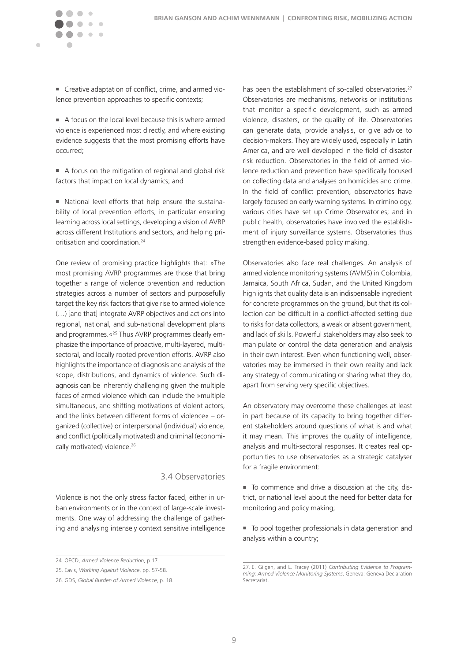Creative adaptation of conflict, crime, and armed violence prevention approaches to specific contexts;

 $\mathcal{C}$ 

 $\sqrt{2}$  $\sim$   $\sim$ 

<span id="page-8-0"></span> $\blacksquare$ 

- A focus on the local level because this is where armed violence is experienced most directly, and where existing evidence suggests that the most promising efforts have occurred;
- A focus on the mitigation of regional and global risk factors that impact on local dynamics; and
- National level efforts that help ensure the sustainability of local prevention efforts, in particular ensuring learning across local settings, developing a vision of AVRP across different Institutions and sectors, and helping prioritisation and coordination.24

One review of promising practice highlights that: »The most promising AVRP programmes are those that bring together a range of violence prevention and reduction strategies across a number of sectors and purposefully target the key risk factors that give rise to armed violence (…) [and that] integrate AVRP objectives and actions into regional, national, and sub-national development plans and programmes.«25 Thus AVRP programmes clearly emphasize the importance of proactive, multi-layered, multisectoral, and locally rooted prevention efforts. AVRP also highlights the importance of diagnosis and analysis of the scope, distributions, and dynamics of violence. Such diagnosis can be inherently challenging given the multiple faces of armed violence which can include the »multiple simultaneous, and shifting motivations of violent actors, and the links between different forms of violence« – organized (collective) or interpersonal (individual) violence, and conflict (politically motivated) and criminal (economically motivated) violence.<sup>26</sup>

## 3.4 Observatories

Violence is not the only stress factor faced, either in urban environments or in the context of large-scale investments. One way of addressing the challenge of gathering and analysing intensely context sensitive intelligence has been the establishment of so-called observatories.<sup>27</sup> Observatories are mechanisms, networks or institutions that monitor a specific development, such as armed violence, disasters, or the quality of life. Observatories can generate data, provide analysis, or give advice to decision-makers. They are widely used, especially in Latin America, and are well developed in the field of disaster risk reduction. Observatories in the field of armed violence reduction and prevention have specifically focused on collecting data and analyses on homicides and crime. In the field of conflict prevention, observatories have largely focused on early warning systems. In criminology, various cities have set up Crime Observatories; and in public health, observatories have involved the establishment of injury surveillance systems. Observatories thus strengthen evidence-based policy making.

Observatories also face real challenges. An analysis of armed violence monitoring systems (AVMS) in Colombia, Jamaica, South Africa, Sudan, and the United Kingdom highlights that quality data is an indispensable ingredient for concrete programmes on the ground, but that its collection can be difficult in a conflict-affected setting due to risks for data collectors, a weak or absent government, and lack of skills. Powerful stakeholders may also seek to manipulate or control the data generation and analysis in their own interest. Even when functioning well, observatories may be immersed in their own reality and lack any strategy of communicating or sharing what they do, apart from serving very specific objectives.

An observatory may overcome these challenges at least in part because of its capacity to bring together different stakeholders around questions of what is and what it may mean. This improves the quality of intelligence, analysis and multi-sectoral responses. It creates real opportunities to use observatories as a strategic catalyser for a fragile environment:

 To commence and drive a discussion at the city, district, or national level about the need for better data for monitoring and policy making;

 To pool together professionals in data generation and analysis within a country;

<sup>24.</sup> OECD, *Armed Violence Reduction*, p.17.

<sup>25.</sup> Eavis, *Working Against Violence*, pp. 57-58.

<sup>26.</sup> GDS, *Global Burden of Armed Violence*, p. 18.

<sup>27.</sup> E. Gilgen, and L. Tracey (2011) *Contributing Evidence to Programming: Armed Violence Monitoring Systems*. Geneva: Geneva Declaration Secretariat.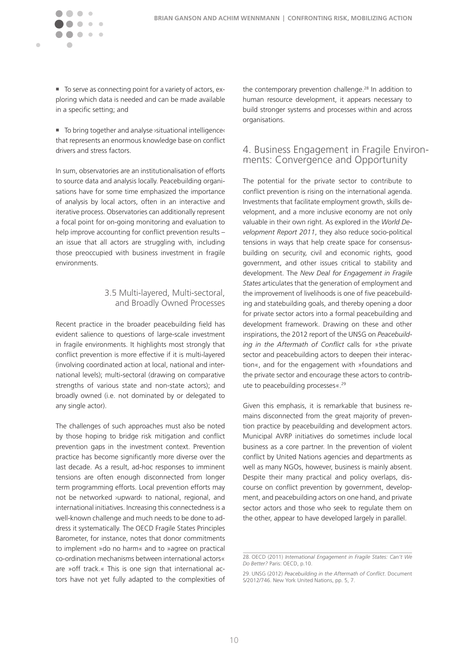<span id="page-9-0"></span>

■ To serve as connecting point for a variety of actors, exploring which data is needed and can be made available in a specific setting; and

■ To bring together and analyse >situational intelligence< that represents an enormous knowledge base on conflict drivers and stress factors.

In sum, observatories are an institutionalisation of efforts to source data and analysis locally. Peacebuilding organisations have for some time emphasized the importance of analysis by local actors, often in an interactive and iterative process. Observatories can additionally represent a focal point for on-going monitoring and evaluation to help improve accounting for conflict prevention results – an issue that all actors are struggling with, including those preoccupied with business investment in fragile environments.

### 3.5 Multi-layered, Multi-sectoral, and Broadly Owned Processes

Recent practice in the broader peacebuilding field has evident salience to questions of large-scale investment in fragile environments. It highlights most strongly that conflict prevention is more effective if it is multi-layered (involving coordinated action at local, national and international levels); multi-sectoral (drawing on comparative strengths of various state and non-state actors); and broadly owned (i.e. not dominated by or delegated to any single actor).

The challenges of such approaches must also be noted by those hoping to bridge risk mitigation and conflict prevention gaps in the investment context. Prevention practice has become significantly more diverse over the last decade. As a result, ad-hoc responses to imminent tensions are often enough disconnected from longer term programming efforts. Local prevention efforts may not be networked ›upward‹ to national, regional, and international initiatives. Increasing this connectedness is a well-known challenge and much needs to be done to address it systematically. The OECD Fragile States Principles Barometer, for instance, notes that donor commitments to implement »do no harm« and to »agree on practical co-ordination mechanisms between international actors« are »off track.« This is one sign that international actors have not yet fully adapted to the complexities of

the contemporary prevention challenge.<sup>28</sup> In addition to human resource development, it appears necessary to build stronger systems and processes within and across organisations.

## 4. Business Engagement in Fragile Environments: Convergence and Opportunity

The potential for the private sector to contribute to conflict prevention is rising on the international agenda. Investments that facilitate employment growth, skills development, and a more inclusive economy are not only valuable in their own right. As explored in the *World Development Report 2011*, they also reduce socio-political tensions in ways that help create space for consensusbuilding on security, civil and economic rights, good government, and other issues critical to stability and development. The *New Deal for Engagement in Fragile States* articulates that the generation of employment and the improvement of livelihoods is one of five peacebuilding and statebuilding goals, and thereby opening a door for private sector actors into a formal peacebuilding and development framework. Drawing on these and other inspirations, the 2012 report of the UNSG on *Peacebuilding in the Aftermath of Conflict* calls for »the private sector and peacebuilding actors to deepen their interaction«, and for the engagement with »foundations and the private sector and encourage these actors to contribute to peacebuilding processes«.29

Given this emphasis, it is remarkable that business remains disconnected from the great majority of prevention practice by peacebuilding and development actors. Municipal AVRP initiatives do sometimes include local business as a core partner. In the prevention of violent conflict by United Nations agencies and departments as well as many NGOs, however, business is mainly absent. Despite their many practical and policy overlaps, discourse on conflict prevention by government, development, and peacebuilding actors on one hand, and private sector actors and those who seek to regulate them on the other, appear to have developed largely in parallel.

<sup>28.</sup> OECD (2011) *International Engagement in Fragile States: Can't We Do Better?* Paris: OECD, p.10.

<sup>29.</sup> UNSG (2012) *Peacebuilding in the Aftermath of Conflict*. Document S/2012/746. New York United Nations, pp. 5, 7.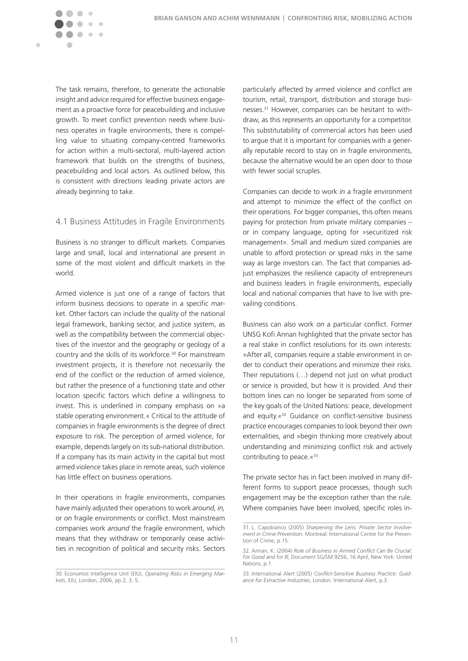<span id="page-10-0"></span>

The task remains, therefore, to generate the actionable insight and advice required for effective business engagement as a proactive force for peacebuilding and inclusive growth. To meet conflict prevention needs where business operates in fragile environments, there is compelling value to situating company-centred frameworks for action within a multi-sectoral, multi-layered action framework that builds on the strengths of business, peacebuilding and local actors. As outlined below, this is consistent with directions leading private actors are already beginning to take.

#### 4.1 Business Attitudes in Fragile Environments

Business is no stranger to difficult markets. Companies large and small, local and international are present in some of the most violent and difficult markets in the world.

Armed violence is just one of a range of factors that inform business decisions to operate in a specific market. Other factors can include the quality of the national legal framework, banking sector, and justice system, as well as the compatibility between the commercial objectives of the investor and the geography or geology of a country and the skills of its workforce.30 For mainstream investment projects, it is therefore not necessarily the end of the conflict or the reduction of armed violence, but rather the presence of a functioning state and other location specific factors which define a willingness to invest. This is underlined in company emphasis on »a stable operating environment.« Critical to the attitude of companies in fragile environments is the degree of direct exposure to risk. The perception of armed violence, for example, depends largely on its sub-national distribution. If a company has its main activity in the capital but most armed violence takes place in remote areas, such violence has little effect on business operations.

In their operations in fragile environments, companies have mainly adjusted their operations to work *around, in,*  or *on* fragile environments or conflict. Most mainstream companies work *around* the fragile environment, which means that they withdraw or temporarily cease activities in recognition of political and security risks. Sectors

particularly affected by armed violence and conflict are tourism, retail, transport, distribution and storage businesses.31 However, companies can be hesitant to withdraw, as this represents an opportunity for a competitor. This substitutability of commercial actors has been used to argue that it is important for companies with a generally reputable record to stay on in fragile environments, because the alternative would be an open door to those with fewer social scruples.

Companies can decide to work *in* a fragile environment and attempt to minimize the effect of the conflict on their operations. For bigger companies, this often means paying for protection from private military companies – or in company language, opting for »securitized risk management«. Small and medium sized companies are unable to afford protection or spread risks in the same way as large investors can. The fact that companies adjust emphasizes the resilience capacity of entrepreneurs and business leaders in fragile environments, especially local and national companies that have to live with prevailing conditions.

Business can also work *on* a particular conflict. Former UNSG Kofi Annan highlighted that the private sector has a real stake in conflict resolutions for its own interests: »After all, companies require a stable environment in order to conduct their operations and minimize their risks. Their reputations (…) depend not just on what product or service is provided, but how it is provided. And their bottom lines can no longer be separated from some of the key goals of the United Nations: peace, development and equity.«32 Guidance on conflict-sensitive business practice encourages companies to look beyond their own externalities, and »begin thinking more creatively about understanding and minimizing conflict risk and actively contributing to peace. «33

The private sector has in fact been involved in many different forms to support peace processes, though such engagement may be the exception rather than the rule. Where companies have been involved, specific roles in-

<sup>30.</sup> Economist Intelligence Unit (EIU), *Operating Risks in Emerging Markets*, EIU, London, 2006, pp.2, 3, 5.

<sup>31.</sup> L. Capobianco (2005) *Sharpening the Lens: Private Sector Involvement in Crime Prevention*. Montreal: International Centre for the Prevention of Crime, p.15.

<sup>32.</sup> Annan, K. (2004) *Role of Business in Armed Conflict Can Be Crucial: For Good and for Ill*, Document SG/SM 9256, 16 April, New York: United Nations, p.1.

<sup>33.</sup> International Alert (2005) *Conflict-Sensitive Business Practice: Guidance for Extractive Industries*, London: International Alert, p.3.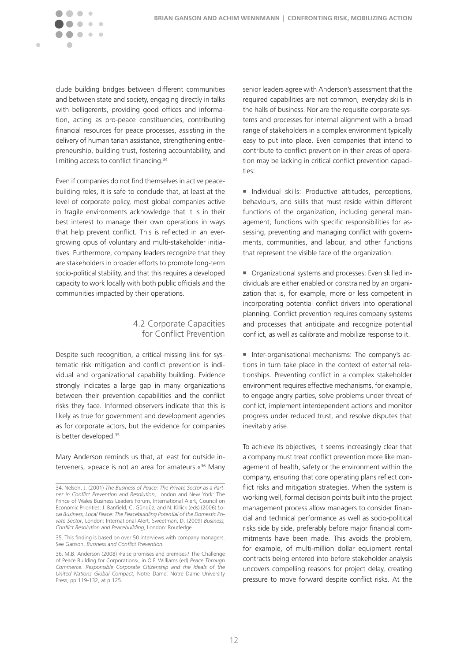<span id="page-11-0"></span>

clude building bridges between different communities and between state and society, engaging directly in talks with belligerents, providing good offices and information, acting as pro-peace constituencies, contributing financial resources for peace processes, assisting in the delivery of humanitarian assistance, strengthening entrepreneurship, building trust, fostering accountability, and limiting access to conflict financing.34

Even if companies do not find themselves in active peacebuilding roles, it is safe to conclude that, at least at the level of corporate policy, most global companies active in fragile environments acknowledge that it is in their best interest to manage their own operations in ways that help prevent conflict. This is reflected in an evergrowing opus of voluntary and multi-stakeholder initiatives. Furthermore, company leaders recognize that they are stakeholders in broader efforts to promote long-term socio-political stability, and that this requires a developed capacity to work locally with both public officials and the communities impacted by their operations.

#### 4.2 Corporate Capacities for Conflict Prevention

Despite such recognition, a critical missing link for systematic risk mitigation and conflict prevention is individual and organizational capability building. Evidence strongly indicates a large gap in many organizations between their prevention capabilities and the conflict risks they face. Informed observers indicate that this is likely as true for government and development agencies as for corporate actors, but the evidence for companies is better developed.<sup>35</sup>

Mary Anderson reminds us that, at least for outside interveners, »peace is not an area for amateurs.«36 Many senior leaders agree with Anderson's assessment that the required capabilities are not common, everyday skills in the halls of business. Nor are the requisite corporate systems and processes for internal alignment with a broad range of stakeholders in a complex environment typically easy to put into place. Even companies that intend to contribute to conflict prevention in their areas of operation may be lacking in critical conflict prevention capacities:

Individual skills: Productive attitudes, perceptions, behaviours, and skills that must reside within different functions of the organization, including general management, functions with specific responsibilities for assessing, preventing and managing conflict with governments, communities, and labour, and other functions that represent the visible face of the organization.

 Organizational systems and processes: Even skilled individuals are either enabled or constrained by an organization that is, for example, more or less competent in incorporating potential conflict drivers into operational planning. Conflict prevention requires company systems and processes that anticipate and recognize potential conflict, as well as calibrate and mobilize response to it.

 Inter-organisational mechanisms: The company's actions in turn take place in the context of external relationships. Preventing conflict in a complex stakeholder environment requires effective mechanisms, for example, to engage angry parties, solve problems under threat of conflict, implement interdependent actions and monitor progress under reduced trust, and resolve disputes that inevitably arise.

To achieve its objectives, it seems increasingly clear that a company must treat conflict prevention more like management of health, safety or the environment within the company, ensuring that core operating plans reflect conflict risks and mitigation strategies. When the system is working well, formal decision points built into the project management process allow managers to consider financial and technical performance as well as socio-political risks side by side, preferably before major financial commitments have been made. This avoids the problem, for example, of multi-million dollar equipment rental contracts being entered into before stakeholder analysis uncovers compelling reasons for project delay, creating pressure to move forward despite conflict risks. At the

<sup>34.</sup> Nelson, J. (2001) *The Business of Peace: The Private Sector as a Partner in Conflict Prevention and Resolution*, London and New York: The Prince of Wales Business Leaders Forum, International Alert, Council on Economic Priorities. J. Banfield, C. Gündüz, and N. Killick (eds) (2006) *Local Business, Local Peace: The Peacebuidling Potential of the Domestic Private Sector*, London: International Alert. Sweetman, D. (2009) *Business, Conflict Resolution and Peacebuilding*, London: Routledge.

<sup>35.</sup> This finding is based on over 50 interviews with company managers. See Ganson, *Business and Conflict Prevention.*

<sup>36.</sup> M.B. Anderson (2008) ›False promises and premises? The Challenge of Peace Building for Corporations‹, in O.F. Williams (ed) *Peace Through Commerce. Responsible Corporate Citizenship and the Ideals of the United Nations Global Compact*, Notre Dame: Notre Dame University Press, pp.119-132, at p.125.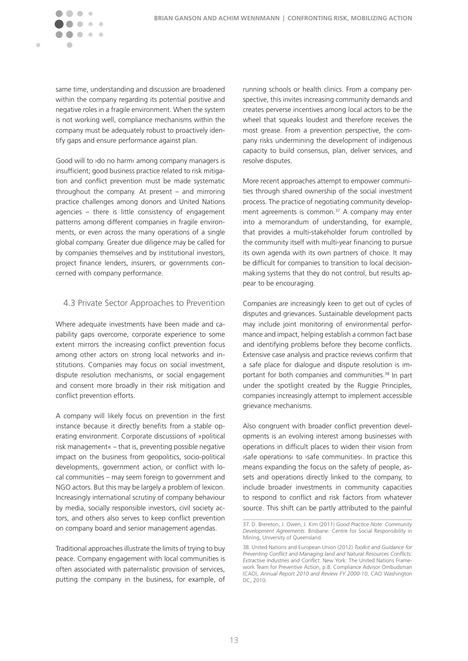<span id="page-12-0"></span>

same time, understanding and discussion are broadened within the company regarding its potential positive and negative roles in a fragile environment. When the system is not working well, compliance mechanisms within the company must be adequately robust to proactively identify gaps and ensure performance against plan.

Good will to ›do no harm‹ among company managers is insufficient; good business practice related to risk mitigation and conflict prevention must be made systematic throughout the company. At present – and mirroring practice challenges among donors and United Nations agencies – there is little consistency of engagement patterns among different companies in fragile environments, or even across the many operations of a single global company. Greater due diligence may be called for by companies themselves and by institutional investors, project finance lenders, insurers, or governments concerned with company performance.

#### 4.3 Private Sector Approaches to Prevention

Where adequate investments have been made and capability gaps overcome, corporate experience to some extent mirrors the increasing conflict prevention focus among other actors on strong local networks and institutions. Companies may focus on social investment, dispute resolution mechanisms, or social engagement and consent more broadly in their risk mitigation and conflict prevention efforts.

A company will likely focus on prevention in the first instance because it directly benefits from a stable operating environment. Corporate discussions of »political risk management« – that is, preventing possible negative impact on the business from geopolitics, socio-political developments, government action, or conflict with local communities – may seem foreign to government and NGO actors. But this may be largely a problem of lexicon. Increasingly international scrutiny of company behaviour by media, socially responsible investors, civil society actors, and others also serves to keep conflict prevention on company board and senior management agendas.

Traditional approaches illustrate the limits of trying to buy peace. Company engagement with local communities is often associated with paternalistic provision of services, putting the company in the business, for example, of

running schools or health clinics. From a company perspective, this invites increasing community demands and creates perverse incentives among local actors to be the wheel that squeaks loudest and therefore receives the most grease. From a prevention perspective, the company risks undermining the development of indigenous capacity to build consensus, plan, deliver services, and resolve disputes.

More recent approaches attempt to empower communities through shared ownership of the social investment process. The practice of negotiating community development agreements is common. $37$  A company may enter into a memorandum of understanding, for example, that provides a multi-stakeholder forum controlled by the community itself with multi-year financing to pursue its own agenda with its own partners of choice. It may be difficult for companies to transition to local decisionmaking systems that they do not control, but results appear to be encouraging.

Companies are increasingly keen to get out of cycles of disputes and grievances. Sustainable development pacts may include joint monitoring of environmental performance and impact, helping establish a common fact base and identifying problems before they become conflicts. Extensive case analysis and practice reviews confirm that a safe place for dialogue and dispute resolution is important for both companies and communities.<sup>38</sup> In part under the spotlight created by the Ruggie Principles, companies increasingly attempt to implement accessible grievance mechanisms.

Also congruent with broader conflict prevention developments is an evolving interest among businesses with operations in difficult places to widen their vision from ›safe operations‹ to ›safe communities‹. In practice this means expanding the focus on the safety of people, assets and operations directly linked to the company, to include broader investments in community capacities to respond to conflict and risk factors from whatever source. This shift can be partly attributed to the painful

<sup>37.</sup> D. Brereton, J. Owen, J. Kim (2011) *Good Practice Note: Community Development Agreements*. Brisbane: Centre for Social Responsibility in Mining, University of Queensland.

<sup>38.</sup> United Nations and European Union (2012) *Toolkit and Guidance for Preventing Conflict and Managing land and Natural Resources Conflicts: Extractive Industries and Conflict*. New York: The United Nations Framework Team for Preventive Action, p.8. Compliance Advisor Ombudsman (CAO), *Annual Report 2010 and Review FY 2000-10*, CAO Washington DC $\overline{2010}$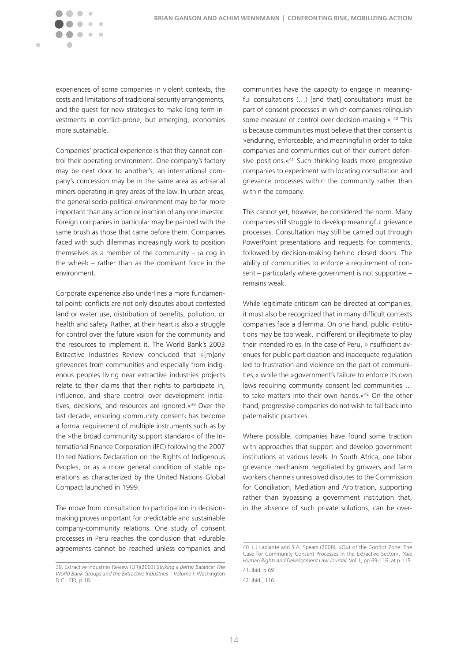experiences of some companies in violent contexts, the costs and limitations of traditional security arrangements, and the quest for new strategies to make long term investments in conflict-prone, but emerging, economies more sustainable.

 $\sqrt{2}$ 

 $\sim$  $\sim$   $\sim$ 

 $\blacksquare$ 

 $\bullet$ 

Companies' practical experience is that they cannot control their operating environment. One company's factory may be next door to another's; an international company's concession may be in the same area as artisanal miners operating in grey areas of the law. In urban areas, the general socio-political environment may be far more important than any action or inaction of any one investor. Foreign companies in particular may be painted with the same brush as those that came before them. Companies faced with such dilemmas increasingly work to position themselves as a member of the community  $\lambda$  cog in the wheel‹ – rather than as the dominant force in the environment.

Corporate experience also underlines a more fundamental point: conflicts are not only disputes about contested land or water use, distribution of benefits, pollution, or health and safety. Rather, at their heart is also a struggle for control over the future vision for the community and the resources to implement it. The World Bank's 2003 Extractive Industries Review concluded that »[m]any grievances from communities and especially from indigenous peoples living near extractive industries projects relate to their claims that their rights to participate in, influence, and share control over development initiatives, decisions, and resources are ignored.«39 Over the last decade, ensuring ›community consent‹ has become a formal requirement of multiple instruments such as by the »the broad community support standard« of the International Finance Corporation (IFC) following the 2007 United Nations Declaration on the Rights of Indigenous Peoples, or as a more general condition of stable operations as characterized by the United Nations Global Compact launched in 1999.

The move from consultation to participation in decisionmaking proves important for predictable and sustainable company-community relations. One study of consent processes in Peru reaches the conclusion that »durable agreements cannot be reached unless companies and

communities have the capacity to engage in meaningful consultations (…) [and that] consultations must be part of consent processes in which companies relinquish some measure of control over decision-making.« 40 This is because communities must believe that their consent is »enduring, enforceable, and meaningful in order to take companies and communities out of their current defensive positions.«41 Such thinking leads more progressive companies to experiment with locating consultation and grievance processes within the community rather than within the company.

This cannot yet, however, be considered the norm. Many companies still struggle to develop meaningful grievance processes. Consultation may still be carried out through PowerPoint presentations and requests for comments, followed by decision-making behind closed doors. The ability of communities to enforce a requirement of consent – particularly where government is not supportive – remains weak.

While legitimate criticism can be directed at companies, it must also be recognized that in many difficult contexts companies face a dilemma. On one hand, public institutions may be too weak, indifferent or illegitimate to play their intended roles. In the case of Peru, »insufficient avenues for public participation and inadequate regulation led to frustration and violence on the part of communities,« while the »government's failure to enforce its own laws requiring community consent led communities … to take matters into their own hands.«42 On the other hand, progressive companies do not wish to fall back into paternalistic practices.

Where possible, companies have found some traction with approaches that support and develop government institutions at various levels. In South Africa, one labor grievance mechanism negotiated by growers and farm workers channels unresolved disputes to the Commission for Conciliation, Mediation and Arbitration, supporting rather than bypassing a government institution that, in the absence of such private solutions, can be over-

<sup>39.</sup> Extractive Industries Review (EIR)(2003) *Striking a Better Balance: The World Bank Groups and the Extractive Industries – Volume I*. Washington D.C.: EIR, p.18.

<sup>40.</sup> L.J Laplante and S.A. Spears (2008), »Out of the Conflict Zone: The Case for Community Consent Processes in the Extractive Sector«. *Yale Human Rights and Development Law Journal*, Vol.1, pp.69-116, at p.115. 41. Ibid, p.69

<sup>42.</sup> Ibid., 116.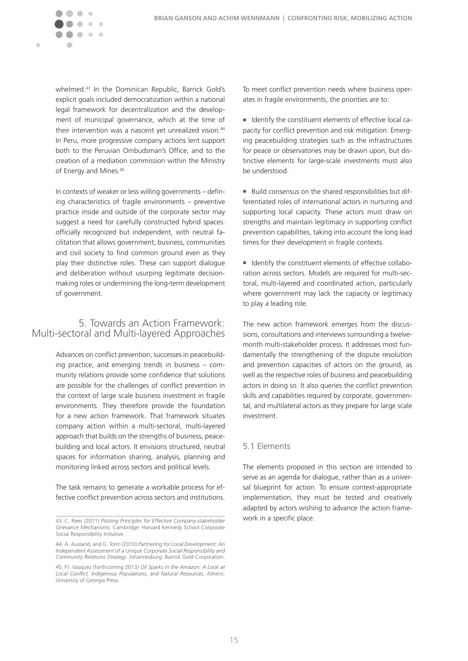<span id="page-14-0"></span>

whelmed.43 In the Dominican Republic, Barrick Gold's explicit goals included democratization within a national legal framework for decentralization and the development of municipal governance, which at the time of their intervention was a nascent vet unrealized vision.<sup>44</sup> In Peru, more progressive company actions lent support both to the Peruvian Ombudsman's Office, and to the creation of a mediation commission within the Ministry of Energy and Mines.45

In contexts of weaker or less willing governments – defining characteristics of fragile environments – preventive practice inside and outside of the corporate sector may suggest a need for carefully constructed hybrid spaces: officially recognized but independent, with neutral facilitation that allows government, business, communities and civil society to find common ground even as they play their distinctive roles. These can support dialogue and deliberation without usurping legitimate decisionmaking roles or undermining the long-term development of government.

## 5. Towards an Action Framework: Multi-sectoral and Multi-layered Approaches

Advances on conflict prevention, successes in peacebuilding practice, and emerging trends in business – community relations provide some confidence that solutions are possible for the challenges of conflict prevention in the context of large scale business investment in fragile environments. They therefore provide the foundation for a new action framework. That framework situates company action within a multi-sectoral, multi-layered approach that builds on the strengths of business, peacebuilding and local actors. It envisions structured, neutral spaces for information sharing, analysis, planning and monitoring linked across sectors and political levels.

The task remains to generate a workable process for effective conflict prevention across sectors and institutions.

To meet conflict prevention needs where business operates in fragile environments, the priorities are to:

 Identify the constituent elements of effective local capacity for conflict prevention and risk mitigation. Emerging peacebuilding strategies such as the infrastructures for peace or observatories may be drawn upon, but distinctive elements for large-scale investments must also be understood.

Build consensus on the shared responsibilities but differentiated roles of international actors in nurturing and supporting local capacity. These actors must draw on strengths and maintain legitimacy in supporting conflict prevention capabilities, taking into account the long lead times for their development in fragile contexts.

I Identify the constituent elements of effective collaboration across sectors. Models are required for multi-sectoral, multi-layered and coordinated action, particularly where government may lack the capacity or legitimacy to play a leading role.

The new action framework emerges from the discussions, consultations and interviews surrounding a twelvemonth multi-stakeholder process. It addresses most fundamentally the strengthening of the dispute resolution and prevention capacities of actors on the ground, as well as the respective roles of business and peacebuilding actors in doing so. It also queries the conflict prevention skills and capabilities required by corporate, governmental, and multilateral actors as they prepare for large scale investment.

### 5.1 Elements

The elements proposed in this section are intended to serve as an agenda for dialogue, rather than as a universal blueprint for action. To ensure context-appropriate implementation, they must be tested and creatively adapted by actors wishing to advance the action framework in a specific place.

<sup>43.</sup> C. Rees (2011) *Piloting Principles for Effective Company-stakeholder Grievance Mechanisms.* Cambridge: Harvard Kennedy School Corporate Social Responsibility Initiative.

<sup>44.</sup> A. Ausland, and G. Tonn (2010) *Partnering for Local Development: An Independent Assessment of a Unique Corporate Social Responsibility and Community Relations Strategy*. Johannesburg: Barrick Gold Corporation.

<sup>45.</sup> P.I. Vasquez (forthcoming 2013*) Oil Sparks in the Amazon: A Look at Local Conflict, Indigenous Populations, and Natural Resources*. Athens: University of Georgia Press.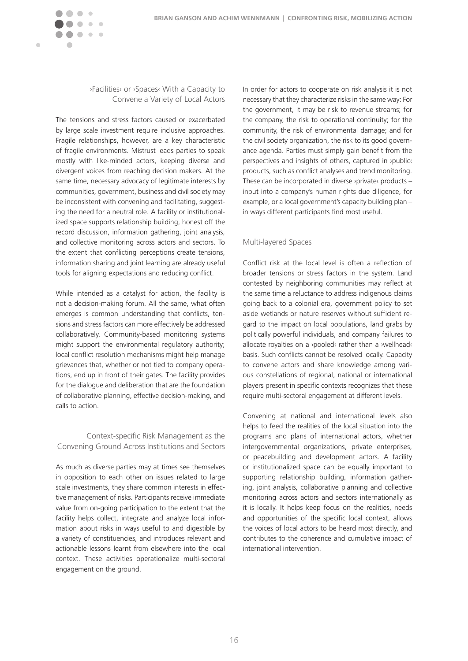



›Facilities‹ or ›Spaces‹ With a Capacity to Convene a Variety of Local Actors

The tensions and stress factors caused or exacerbated by large scale investment require inclusive approaches. Fragile relationships, however, are a key characteristic of fragile environments. Mistrust leads parties to speak mostly with like-minded actors, keeping diverse and divergent voices from reaching decision makers. At the same time, necessary advocacy of legitimate interests by communities, government, business and civil society may be inconsistent with convening and facilitating, suggesting the need for a neutral role. A facility or institutionalized space supports relationship building, honest off the record discussion, information gathering, joint analysis, and collective monitoring across actors and sectors. To the extent that conflicting perceptions create tensions, information sharing and joint learning are already useful tools for aligning expectations and reducing conflict.

While intended as a catalyst for action, the facility is not a decision-making forum. All the same, what often emerges is common understanding that conflicts, tensions and stress factors can more effectively be addressed collaboratively. Community-based monitoring systems might support the environmental regulatory authority; local conflict resolution mechanisms might help manage grievances that, whether or not tied to company operations, end up in front of their gates. The facility provides for the dialogue and deliberation that are the foundation of collaborative planning, effective decision-making, and calls to action.

### Context-specific Risk Management as the Convening Ground Across Institutions and Sectors

As much as diverse parties may at times see themselves in opposition to each other on issues related to large scale investments, they share common interests in effective management of risks. Participants receive immediate value from on-going participation to the extent that the facility helps collect, integrate and analyze local information about risks in ways useful to and digestible by a variety of constituencies, and introduces relevant and actionable lessons learnt from elsewhere into the local context. These activities operationalize multi-sectoral engagement on the ground.

In order for actors to cooperate on risk analysis it is not necessary that they characterize risks in the same way: For the government, it may be risk to revenue streams; for the company, the risk to operational continuity; for the community, the risk of environmental damage; and for the civil society organization, the risk to its good governance agenda. Parties must simply gain benefit from the perspectives and insights of others, captured in ›public‹ products, such as conflict analyses and trend monitoring. These can be incorporated in diverse ›private‹ products – input into a company's human rights due diligence, for example, or a local government's capacity building plan – in ways different participants find most useful.

#### Multi-layered Spaces

Conflict risk at the local level is often a reflection of broader tensions or stress factors in the system. Land contested by neighboring communities may reflect at the same time a reluctance to address indigenous claims going back to a colonial era, government policy to set aside wetlands or nature reserves without sufficient regard to the impact on local populations, land grabs by politically powerful individuals, and company failures to allocate royalties on a >pooled< rather than a >wellhead< basis. Such conflicts cannot be resolved locally. Capacity to convene actors and share knowledge among various constellations of regional, national or international players present in specific contexts recognizes that these require multi-sectoral engagement at different levels.

Convening at national and international levels also helps to feed the realities of the local situation into the programs and plans of international actors, whether intergovernmental organizations, private enterprises, or peacebuilding and development actors. A facility or institutionalized space can be equally important to supporting relationship building, information gathering, joint analysis, collaborative planning and collective monitoring across actors and sectors internationally as it is locally. It helps keep focus on the realities, needs and opportunities of the specific local context, allows the voices of local actors to be heard most directly, and contributes to the coherence and cumulative impact of international intervention.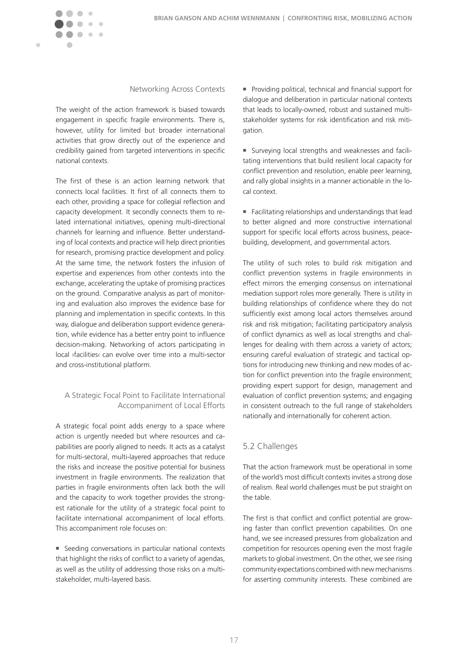<span id="page-16-0"></span>

#### Networking Across Contexts

The weight of the action framework is biased towards engagement in specific fragile environments. There is, however, utility for limited but broader international activities that grow directly out of the experience and credibility gained from targeted interventions in specific national contexts.

The first of these is an action learning network that connects local facilities. It first of all connects them to each other, providing a space for collegial reflection and capacity development. It secondly connects them to related international initiatives, opening multi-directional channels for learning and influence. Better understanding of local contexts and practice will help direct priorities for research, promising practice development and policy. At the same time, the network fosters the infusion of expertise and experiences from other contexts into the exchange, accelerating the uptake of promising practices on the ground. Comparative analysis as part of monitoring and evaluation also improves the evidence base for planning and implementation in specific contexts. In this way, dialogue and deliberation support evidence generation, while evidence has a better entry point to influence decision-making. Networking of actors participating in local ›facilities‹ can evolve over time into a multi-sector and cross-institutional platform.

## A Strategic Focal Point to Facilitate International Accompaniment of Local Efforts

A strategic focal point adds energy to a space where action is urgently needed but where resources and capabilities are poorly aligned to needs. It acts as a catalyst for multi-sectoral, multi-layered approaches that reduce the risks and increase the positive potential for business investment in fragile environments. The realization that parties in fragile environments often lack both the will and the capacity to work together provides the strongest rationale for the utility of a strategic focal point to facilitate international accompaniment of local efforts. This accompaniment role focuses on:

 Seeding conversations in particular national contexts that highlight the risks of conflict to a variety of agendas, as well as the utility of addressing those risks on a multistakeholder, multi-layered basis.

**Providing political, technical and financial support for** dialogue and deliberation in particular national contexts that leads to locally-owned, robust and sustained multistakeholder systems for risk identification and risk mitigation.

 Surveying local strengths and weaknesses and facilitating interventions that build resilient local capacity for conflict prevention and resolution, enable peer learning, and rally global insights in a manner actionable in the local context.

 Facilitating relationships and understandings that lead to better aligned and more constructive international support for specific local efforts across business, peacebuilding, development, and governmental actors.

The utility of such roles to build risk mitigation and conflict prevention systems in fragile environments in effect mirrors the emerging consensus on international mediation support roles more generally. There is utility in building relationships of confidence where they do not sufficiently exist among local actors themselves around risk and risk mitigation; facilitating participatory analysis of conflict dynamics as well as local strengths and challenges for dealing with them across a variety of actors; ensuring careful evaluation of strategic and tactical options for introducing new thinking and new modes of action for conflict prevention into the fragile environment; providing expert support for design, management and evaluation of conflict prevention systems; and engaging in consistent outreach to the full range of stakeholders nationally and internationally for coherent action.

## 5.2 Challenges

That the action framework must be operational in some of the world's most difficult contexts invites a strong dose of realism. Real world challenges must be put straight on the table.

The first is that conflict and conflict potential are growing faster than conflict prevention capabilities. On one hand, we see increased pressures from globalization and competition for resources opening even the most fragile markets to global investment. On the other, we see rising community expectations combined with new mechanisms for asserting community interests. These combined are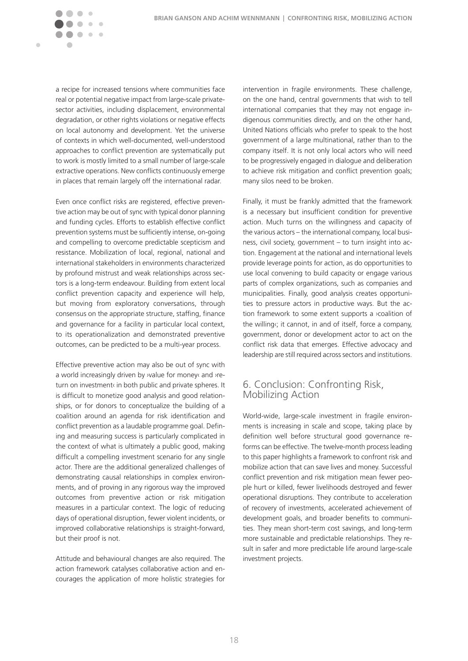<span id="page-17-0"></span> $\sim$   $\sim$ 

 $\blacksquare$ 

a recipe for increased tensions where communities face real or potential negative impact from large-scale privatesector activities, including displacement, environmental degradation, or other rights violations or negative effects on local autonomy and development. Yet the universe of contexts in which well-documented, well-understood approaches to conflict prevention are systematically put to work is mostly limited to a small number of large-scale extractive operations. New conflicts continuously emerge in places that remain largely off the international radar.

Even once conflict risks are registered, effective preventive action may be out of sync with typical donor planning and funding cycles. Efforts to establish effective conflict prevention systems must be sufficiently intense, on-going and compelling to overcome predictable scepticism and resistance. Mobilization of local, regional, national and international stakeholders in environments characterized by profound mistrust and weak relationships across sectors is a long-term endeavour. Building from extent local conflict prevention capacity and experience will help, but moving from exploratory conversations, through consensus on the appropriate structure, staffing, finance and governance for a facility in particular local context, to its operationalization and demonstrated preventive outcomes, can be predicted to be a multi-year process.

Effective preventive action may also be out of sync with a world increasingly driven by ›value for money‹ and ›return on investment‹ in both public and private spheres. It is difficult to monetize good analysis and good relationships, or for donors to conceptualize the building of a coalition around an agenda for risk identification and conflict prevention as a laudable programme goal. Defining and measuring success is particularly complicated in the context of what is ultimately a public good, making difficult a compelling investment scenario for any single actor. There are the additional generalized challenges of demonstrating causal relationships in complex environments, and of proving in any rigorous way the improved outcomes from preventive action or risk mitigation measures in a particular context. The logic of reducing days of operational disruption, fewer violent incidents, or improved collaborative relationships is straight-forward, but their proof is not.

Attitude and behavioural changes are also required. The action framework catalyses collaborative action and encourages the application of more holistic strategies for intervention in fragile environments. These challenge, on the one hand, central governments that wish to tell international companies that they may not engage indigenous communities directly, and on the other hand, United Nations officials who prefer to speak to the host government of a large multinational, rather than to the company itself. It is not only local actors who will need to be progressively engaged in dialogue and deliberation to achieve risk mitigation and conflict prevention goals; many silos need to be broken.

Finally, it must be frankly admitted that the framework is a necessary but insufficient condition for preventive action. Much turns on the willingness and capacity of the various actors – the international company, local business, civil society, government – to turn insight into action. Engagement at the national and international levels provide leverage points for action, as do opportunities to use local convening to build capacity or engage various parts of complex organizations, such as companies and municipalities. Finally, good analysis creates opportunities to pressure actors in productive ways. But the action framework to some extent supports a ›coalition of the willing‹; it cannot, in and of itself, force a company, government, donor or development actor to act on the conflict risk data that emerges. Effective advocacy and leadership are still required across sectors and institutions.

## 6. Conclusion: Confronting Risk, Mobilizing Action

World-wide, large-scale investment in fragile environments is increasing in scale and scope, taking place by definition well before structural good governance reforms can be effective. The twelve-month process leading to this paper highlights a framework to confront risk and mobilize action that can save lives and money. Successful conflict prevention and risk mitigation mean fewer people hurt or killed, fewer livelihoods destroyed and fewer operational disruptions. They contribute to acceleration of recovery of investments, accelerated achievement of development goals, and broader benefits to communities. They mean short-term cost savings, and long-term more sustainable and predictable relationships. They result in safer and more predictable life around large-scale investment projects.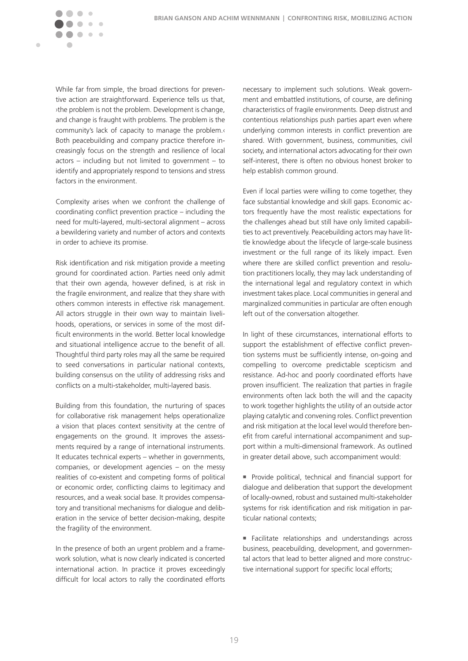

While far from simple, the broad directions for preventive action are straightforward. Experience tells us that, ›the problem is not the problem. Development is change, and change is fraught with problems. The problem is the community's lack of capacity to manage the problem.‹ Both peacebuilding and company practice therefore increasingly focus on the strength and resilience of local actors – including but not limited to government – to identify and appropriately respond to tensions and stress factors in the environment.

Complexity arises when we confront the challenge of coordinating conflict prevention practice – including the need for multi-layered, multi-sectoral alignment – across a bewildering variety and number of actors and contexts in order to achieve its promise.

Risk identification and risk mitigation provide a meeting ground for coordinated action. Parties need only admit that their own agenda, however defined, is at risk in the fragile environment, and realize that they share with others common interests in effective risk management. All actors struggle in their own way to maintain livelihoods, operations, or services in some of the most difficult environments in the world. Better local knowledge and situational intelligence accrue to the benefit of all. Thoughtful third party roles may all the same be required to seed conversations in particular national contexts, building consensus on the utility of addressing risks and conflicts on a multi-stakeholder, multi-layered basis.

Building from this foundation, the nurturing of spaces for collaborative risk management helps operationalize a vision that places context sensitivity at the centre of engagements on the ground. It improves the assessments required by a range of international instruments. It educates technical experts – whether in governments, companies, or development agencies – on the messy realities of co-existent and competing forms of political or economic order, conflicting claims to legitimacy and resources, and a weak social base. It provides compensatory and transitional mechanisms for dialogue and deliberation in the service of better decision-making, despite the fragility of the environment.

In the presence of both an urgent problem and a framework solution, what is now clearly indicated is concerted international action. In practice it proves exceedingly difficult for local actors to rally the coordinated efforts

necessary to implement such solutions. Weak government and embattled institutions, of course, are defining characteristics of fragile environments. Deep distrust and contentious relationships push parties apart even where underlying common interests in conflict prevention are shared. With government, business, communities, civil society, and international actors advocating for their own self-interest, there is often no obvious honest broker to help establish common ground.

Even if local parties were willing to come together, they face substantial knowledge and skill gaps. Economic actors frequently have the most realistic expectations for the challenges ahead but still have only limited capabilities to act preventively. Peacebuilding actors may have little knowledge about the lifecycle of large-scale business investment or the full range of its likely impact. Even where there are skilled conflict prevention and resolution practitioners locally, they may lack understanding of the international legal and regulatory context in which investment takes place. Local communities in general and marginalized communities in particular are often enough left out of the conversation altogether.

In light of these circumstances, international efforts to support the establishment of effective conflict prevention systems must be sufficiently intense, on-going and compelling to overcome predictable scepticism and resistance. Ad-hoc and poorly coordinated efforts have proven insufficient. The realization that parties in fragile environments often lack both the will and the capacity to work together highlights the utility of an outside actor playing catalytic and convening roles. Conflict prevention and risk mitigation at the local level would therefore benefit from careful international accompaniment and support within a multi-dimensional framework. As outlined in greater detail above, such accompaniment would:

**Provide political, technical and financial support for** dialogue and deliberation that support the development of locally-owned, robust and sustained multi-stakeholder systems for risk identification and risk mitigation in particular national contexts;

 Facilitate relationships and understandings across business, peacebuilding, development, and governmental actors that lead to better aligned and more constructive international support for specific local efforts;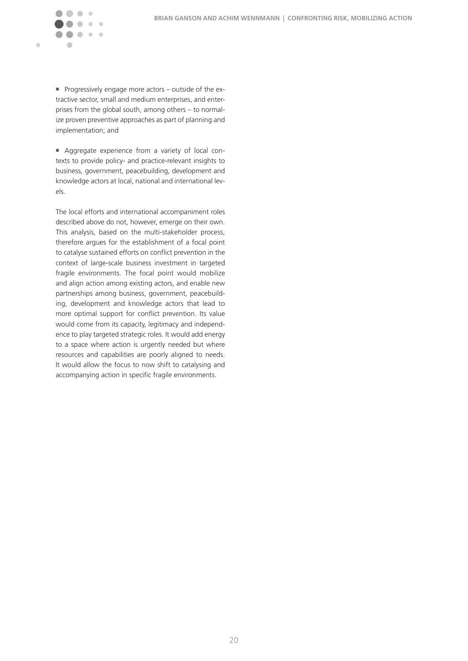$\sqrt{2}$  $\sim$  $\sim$ 

 $\blacksquare$ 

**Progressively engage more actors – outside of the ex**tractive sector, small and medium enterprises, and enterprises from the global south, among others – to normalize proven preventive approaches as part of planning and implementation; and

 Aggregate experience from a variety of local contexts to provide policy- and practice-relevant insights to business, government, peacebuilding, development and knowledge actors at local, national and international levels.

The local efforts and international accompaniment roles described above do not, however, emerge on their own. This analysis, based on the multi-stakeholder process, therefore argues for the establishment of a focal point to catalyse sustained efforts on conflict prevention in the context of large-scale business investment in targeted fragile environments. The focal point would mobilize and align action among existing actors, and enable new partnerships among business, government, peacebuilding, development and knowledge actors that lead to more optimal support for conflict prevention. Its value would come from its capacity, legitimacy and independence to play targeted strategic roles. It would add energy to a space where action is urgently needed but where resources and capabilities are poorly aligned to needs. It would allow the focus to now shift to catalysing and accompanying action in specific fragile environments.